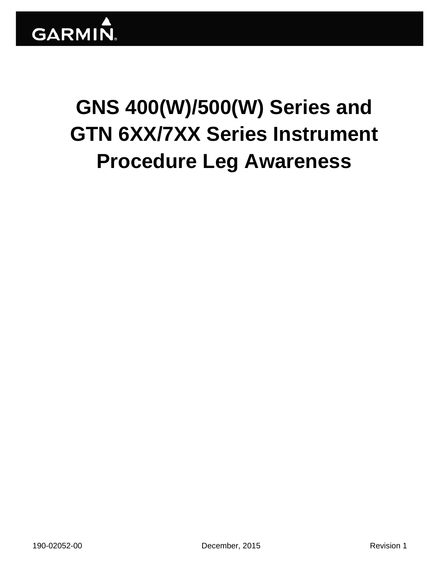

# **GNS 400(W)/500(W) Series and GTN 6XX/7XX Series Instrument Procedure Leg Awareness**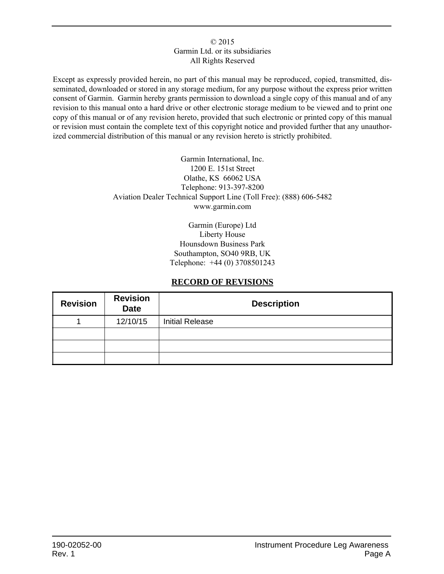#### © 2015 Garmin Ltd. or its subsidiaries All Rights Reserved

Except as expressly provided herein, no part of this manual may be reproduced, copied, transmitted, disseminated, downloaded or stored in any storage medium, for any purpose without the express prior written consent of Garmin. Garmin hereby grants permission to download a single copy of this manual and of any revision to this manual onto a hard drive or other electronic storage medium to be viewed and to print one copy of this manual or of any revision hereto, provided that such electronic or printed copy of this manual or revision must contain the complete text of this copyright notice and provided further that any unauthorized commercial distribution of this manual or any revision hereto is strictly prohibited.

> Garmin International, Inc. 1200 E. 151st Street Olathe, KS 66062 USA Telephone: 913-397-8200 Aviation Dealer Technical Support Line (Toll Free): (888) 606-5482 www.garmin.com

> > Garmin (Europe) Ltd Liberty House Hounsdown Business Park Southampton, SO40 9RB, UK Telephone: +44 (0) 3708501243

#### **RECORD OF REVISIONS**

| <b>Revision</b> | <b>Revision</b><br><b>Date</b> | <b>Description</b>     |  |  |
|-----------------|--------------------------------|------------------------|--|--|
|                 | 12/10/15                       | <b>Initial Release</b> |  |  |
|                 |                                |                        |  |  |
|                 |                                |                        |  |  |
|                 |                                |                        |  |  |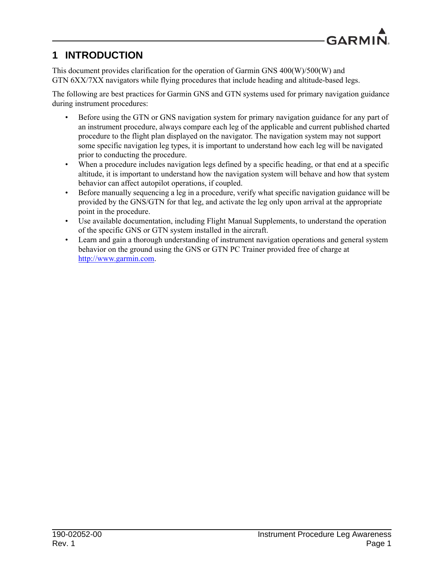

# **1 INTRODUCTION**

This document provides clarification for the operation of Garmin GNS 400(W)/500(W) and GTN 6XX/7XX navigators while flying procedures that include heading and altitude-based legs.

The following are best practices for Garmin GNS and GTN systems used for primary navigation guidance during instrument procedures:

- [Before using the GTN or GNS navigation system for primary navigation guidance for any part of](http://www.garmin.com)  an instrument procedure, always compare each leg of the applicable and current published charted procedure to the flight plan displayed on the navigator. The navigation system may not support some specific navigation leg types, it is important to understand how each leg will be navigated prior to conducting the procedure.
- When a procedure includes navigation legs defined by a specific heading, or that end at a specific altitude, it is important to understand how the navigation system will behave and how that system behavior can affect autopilot operations, if coupled.
- Before manually sequencing a leg in a procedure, verify what specific navigation guidance will be provided by the GNS/GTN for that leg, and activate the leg only upon arrival at the appropriate point in the procedure.
- Use available documentation, including Flight Manual Supplements, to understand the operation of the specific GNS or GTN system installed in the aircraft.
- Learn and gain a thorough understanding of instrument navigation operations and general system behavior on the ground using the GNS or GTN PC Trainer provided free of charge at http://www.garmin.com.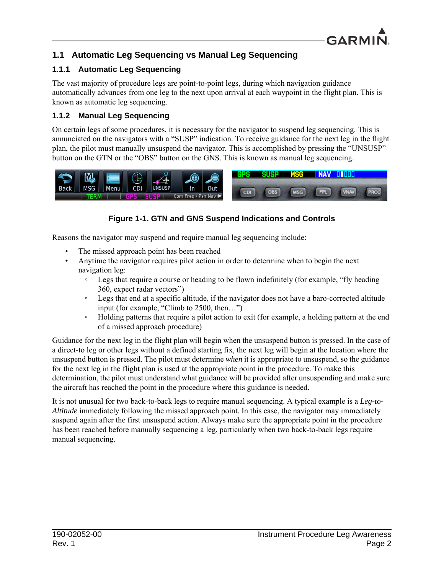

# **1.1 Automatic Leg Sequencing vs Manual Leg Sequencing**

#### **1.1.1 Automatic Leg Sequencing**

The vast majority of procedure legs are point-to-point legs, during which navigation guidance automatically advances from one leg to the next upon arrival at each waypoint in the flight plan. This is known as automatic leg sequencing.

#### **1.1.2 Manual Leg Sequencing**

On certain legs of some procedures, it is necessary for the navigator to suspend leg sequencing. This is annunciated on the navigators with a "SUSP" indication. To receive guidance for the next leg in the flight plan, the pilot must manually unsuspend the navigator. This is accomplished by pressing the "UNSUSP" button on the GTN or the "OBS" button on the GNS. This is known as manual leg sequencing.



#### **Figure 1-1. GTN and GNS Suspend Indications and Controls**

Reasons the navigator may suspend and require manual leg sequencing include:

- The missed approach point has been reached
- Anytime the navigator requires pilot action in order to determine when to begin the next navigation leg:
	- Legs that require a course or heading to be flown indefinitely (for example, "fly heading 360, expect radar vectors")
	- Legs that end at a specific altitude, if the navigator does not have a baro-corrected altitude input (for example, "Climb to 2500, then…")
	- Holding patterns that require a pilot action to exit (for example, a holding pattern at the end of a missed approach procedure)

Guidance for the next leg in the flight plan will begin when the unsuspend button is pressed. In the case of a direct-to leg or other legs without a defined starting fix, the next leg will begin at the location where the unsuspend button is pressed. The pilot must determine *when* it is appropriate to unsuspend, so the guidance for the next leg in the flight plan is used at the appropriate point in the procedure. To make this determination, the pilot must understand what guidance will be provided after unsuspending and make sure the aircraft has reached the point in the procedure where this guidance is needed.

It is not unusual for two back-to-back legs to require manual sequencing. A typical example is a *Leg-to-Altitude* immediately following the missed approach point. In this case, the navigator may immediately suspend again after the first unsuspend action. Always make sure the appropriate point in the procedure has been reached before manually sequencing a leg, particularly when two back-to-back legs require manual sequencing.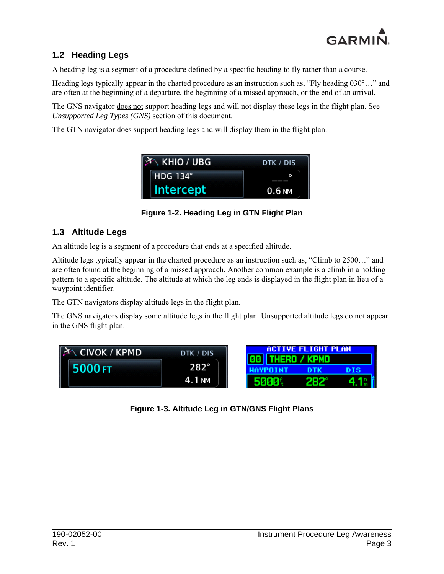

### **1.2 Heading Legs**

A heading leg is a segment of a procedure defined by a specific heading to fly rather than a course.

Heading legs typically appear in the charted procedure as an instruction such as, "Fly heading 030°..." and are often at the beginning of a departure, the beginning of a missed approach, or the end of an arrival.

The GNS navigator does not support heading legs and will not display these legs in the flight plan. See *Unsupported Leg Types (GNS)* section of this document.

The GTN navigator does support heading legs and will display them in the flight plan.



**Figure 1-2. Heading Leg in GTN Flight Plan**

#### **1.3 Altitude Legs**

An altitude leg is a segment of a procedure that ends at a specified altitude.

Altitude legs typically appear in the charted procedure as an instruction such as, "Climb to 2500…" and are often found at the beginning of a missed approach. Another common example is a climb in a holding pattern to a specific altitude. The altitude at which the leg ends is displayed in the flight plan in lieu of a waypoint identifier.

The GTN navigators display altitude legs in the flight plan.

The GNS navigators display some altitude legs in the flight plan. Unsupported altitude legs do not appear in the GNS flight plan.

| DTK / DIS | <b>ACTIVE FLIGHT PLAN</b> |  |                                |
|-----------|---------------------------|--|--------------------------------|
| 282°      |                           |  |                                |
|           | 4. I NM                   |  | <b>100 THERO / KPMD</b><br>282 |

**Figure 1-3. Altitude Leg in GTN/GNS Flight Plans**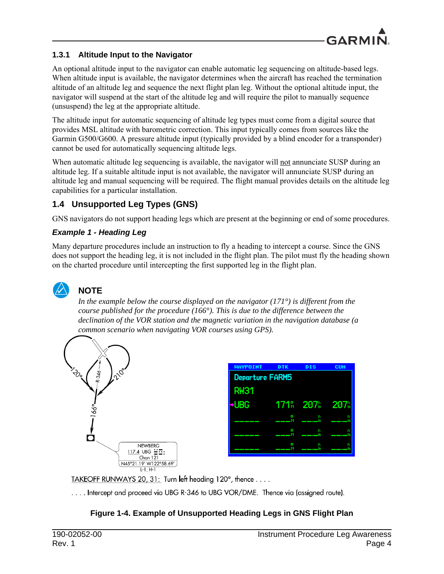

#### **1.3.1 Altitude Input to the Navigator**

An optional altitude input to the navigator can enable automatic leg sequencing on altitude-based legs. When altitude input is available, the navigator determines when the aircraft has reached the termination altitude of an altitude leg and sequence the next flight plan leg. Without the optional altitude input, the navigator will suspend at the start of the altitude leg and will require the pilot to manually sequence (unsuspend) the leg at the appropriate altitude.

The altitude input for automatic sequencing of altitude leg types must come from a digital source that provides MSL altitude with barometric correction. This input typically comes from sources like the Garmin G500/G600. A pressure altitude input (typically provided by a blind encoder for a transponder) cannot be used for automatically sequencing altitude legs.

When automatic altitude leg sequencing is available, the navigator will not annunciate SUSP during an altitude leg. If a suitable altitude input is not available, the navigator will annunciate SUSP during an altitude leg and manual sequencing will be required. The flight manual provides details on the altitude leg capabilities for a particular installation.

#### **1.4 Unsupported Leg Types (GNS)**

GNS navigators do not support heading legs which are present at the beginning or end of some procedures.

#### *Example 1 - Heading Leg*

Many departure procedures include an instruction to fly a heading to intercept a course. Since the GNS does not support the heading leg, it is not included in the flight plan. The pilot must fly the heading shown on the charted procedure until intercepting the first supported leg in the flight plan.

# **NOTE**

*In the example below the course displayed on the navigator (171°) is different from the course published for the procedure (166°). This is due to the difference between the declination of the VOR station and the magnetic variation in the navigation database (a common scenario when navigating VOR courses using GPS).*



TAKEOFF RUNWAYS 20, 31: Turn left heading 120°, thence . . . .

.... Intercept and proceed via UBG R-346 to UBG VOR/DME. Thence via (assigned route).

#### **Figure 1-4. Example of Unsupported Heading Legs in GNS Flight Plan**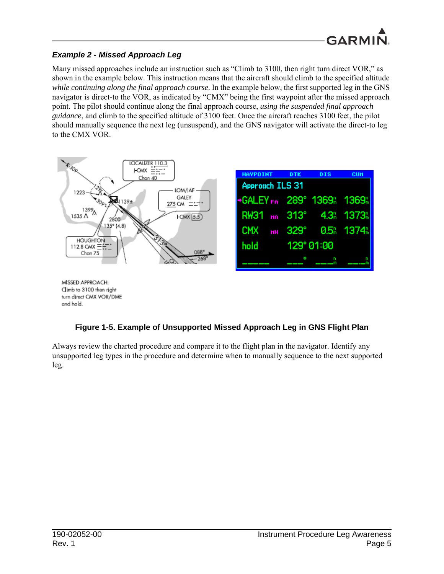

#### *Example 2 - Missed Approach Leg*

Many missed approaches include an instruction such as "Climb to 3100, then right turn direct VOR," as shown in the example below. This instruction means that the aircraft should climb to the specified altitude *while continuing along the final approach course*. In the example below, the first supported leg in the GNS navigator is direct-to the VOR, as indicated by "CMX" being the first waypoint after the missed approach point. The pilot should continue along the final approach course, *using the suspended final approach guidance*, and climb to the specified altitude of 3100 feet. Once the aircraft reaches 3100 feet, the pilot should manually sequence the next leg (unsuspend), and the GNS navigator will activate the direct-to leg to the CMX VOR.



#### **Figure 1-5. Example of Unsupported Missed Approach Leg in GNS Flight Plan**

Always review the charted procedure and compare it to the flight plan in the navigator. Identify any unsupported leg types in the procedure and determine when to manually sequence to the next supported leg.